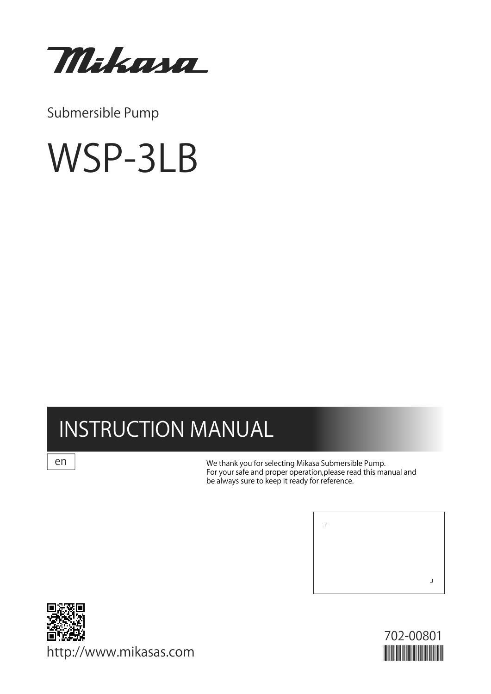

Submersible Pump

# WSP-3LB

# INSTRUCTION MANUAL

en

We thank you for selecting Mikasa Submersible Pump. For your safe and proper operation,please read this manual and be always sure to keep it ready for reference.





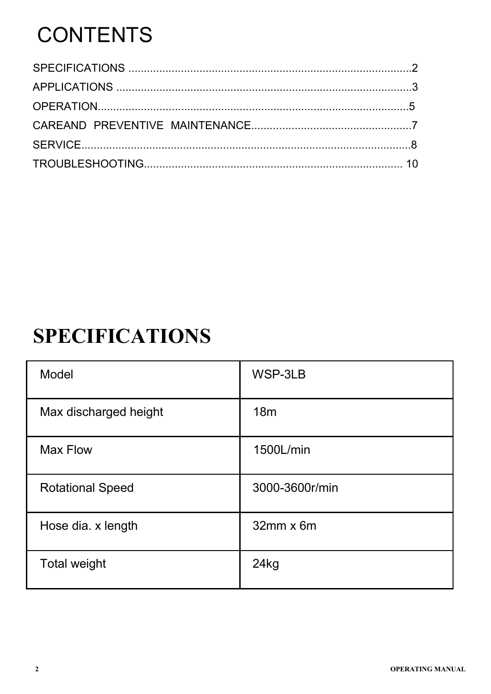# **CONTENTS**

### **SPECIFICATIONS**

| <b>Model</b>            | WSP-3LB             |
|-------------------------|---------------------|
| Max discharged height   | 18m                 |
| <b>Max Flow</b>         | 1500L/min           |
| <b>Rotational Speed</b> | 3000-3600r/min      |
| Hose dia. x length      | $32$ mm $\times$ 6m |
| <b>Total weight</b>     | 24kg                |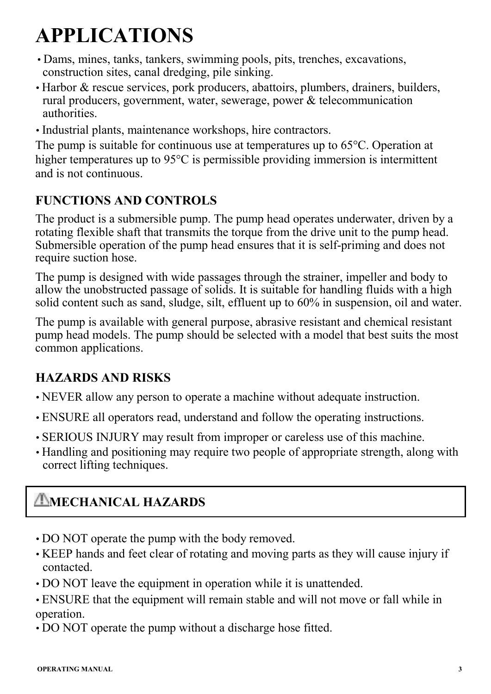## **APPLICATIONS**

- Dams, mines, tanks, tankers, swimming pools, pits, trenches, excavations, construction sites, canal dredging, pile sinking.
- Harbor & rescue services, pork producers, abattoirs, plumbers, drainers, builders, rural producers, government, water, sewerage, power & telecommunication authorities.
- Industrial plants, maintenance workshops, hire contractors.

The pump is suitable for continuous use at temperatures up to 65°C. Operation at higher temperatures up to 95°C is permissible providing immersion is intermittent and is not continuous.

### **FUNCTIONS AND CONTROLS**

The product is a submersible pump. The pump head operates underwater, driven by a rotating flexible shaft that transmits the torque from the drive unit to the pump head. Submersible operation of the pump head ensures that it is self-priming and does not require suction hose.

The pump is designed with wide passages through the strainer, impeller and body to allow the unobstructed passage of solids. It is suitable for handling fluids with a high solid content such as sand, sludge, silt, effluent up to 60% in suspension, oil and water.

The pump is available with general purpose, abrasive resistant and chemical resistant pump head models. The pump should be selected with a model that best suits the most common applications.

### **HAZARDS AND RISKS**

- NEVER allow any person to operate a machine without adequate instruction.
- ENSURE all operators read, understand and follow the operating instructions.
- SERIOUS INJURY may result from improper or careless use of this machine.
- Handling and positioning may require two people of appropriate strength, along with correct lifting techniques.

### **AMECHANICAL HAZARDS**

- DO NOT operate the pump with the body removed.
- KEEP hands and feet clear of rotating and moving parts as they will cause injury if contacted.
- DO NOT leave the equipment in operation while it is unattended.
- ENSURE that the equipment will remain stable and will not move or fall while in operation.
- DO NOT operate the pump without a discharge hose fitted.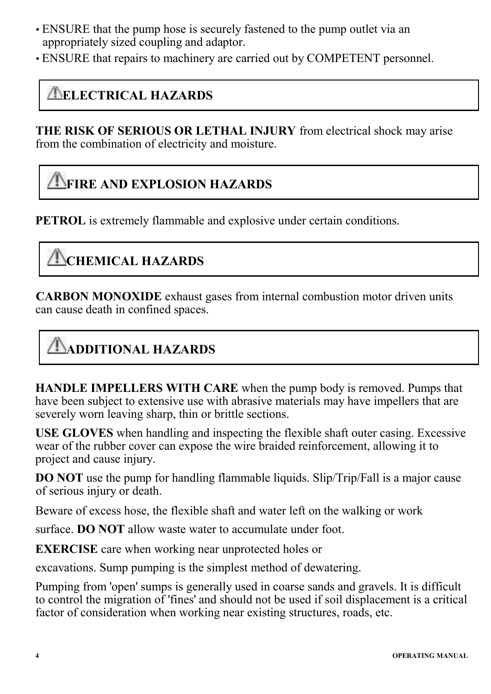- ENSURE that the pump hose is securely fastened to the pump outlet via an appropriately sized coupling and adaptor.
- ENSURE that repairs to machinery are carried out by COMPETENT personnel.

### **ELECTRICAL HAZARDS**

**THE RISK OF SERIOUS OR LETHAL INJURY** from electrical shock may arise from the combination of electricity and moisture.

### **FIRE AND EXPLOSION HAZARDS**

**PETROL** is extremely flammable and explosive under certain conditions.

### **TO CHEMICAL HAZARDS**

**CARBON MONOXIDE** exhaust gases from internal combustion motor driven units can cause death in confined spaces.

### **ADDITIONAL HAZARDS**

**HANDLE IMPELLERS WITH CARE** when the pump body is removed. Pumps that have been subject to extensive use with abrasive materials may have impellers that are severely worn leaving sharp, thin or brittle sections.

**USE GLOVES** when handling and inspecting the flexible shaft outer casing. Excessive wear of the rubber cover can expose the wire braided reinforcement, allowing it to project and cause injury.

**DO NOT** use the pump for handling flammable liquids. Slip/Trip/Fall is a major cause of serious injury or death.

Beware of excess hose, the flexible shaft and water left on the walking or work

surface. **DO NOT** allow waste water to accumulate under foot.

**EXERCISE** care when working near unprotected holes or

excavations. Sump pumping is the simplest method of dewatering.

Pumping from 'open' sumps is generally used in coarse sands and gravels. It is difficult to control the migration of 'fines' and should not be used if soil displacement is a critical factor of consideration when working near existing structures, roads, etc.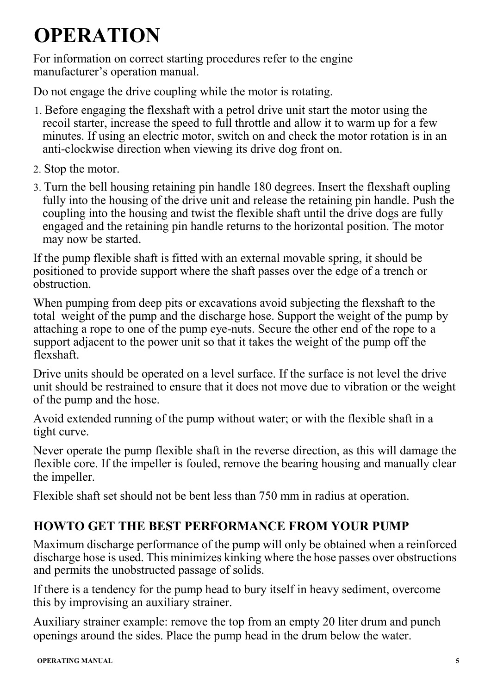# **OPERATION**

For information on correct starting procedures refer to the engine manufacturer's operation manual.

Do not engage the drive coupling while the motor is rotating.

- 1. Before engaging the flexshaft with a petrol drive unit start the motor using the recoil starter, increase the speed to full throttle and allow it to warm up for a few minutes. If using an electric motor, switch on and check the motor rotation is in an anti-clockwise direction when viewing its drive dog front on.
- 2. Stop the motor.
- 3. Turn the bell housing retaining pin handle 180 degrees. Insert the flexshaft oupling fully into the housing of the drive unit and release the retaining pin handle. Push the coupling into the housing and twist the flexible shaft until the drive dogs are fully engaged and the retaining pin handle returns to the horizontal position. The motor may now be started.

If the pump flexible shaft is fitted with an external movable spring, it should be positioned to provide support where the shaft passes over the edge of a trench or obstruction.

When pumping from deep pits or excavations avoid subjecting the flexshaft to the total weight of the pump and the discharge hose. Support the weight of the pump by attaching a rope to one of the pump eye-nuts. Secure the other end of the rope to a support adjacent to the power unit so that it takes the weight of the pump off the flexshaft.

Drive units should be operated on a level surface. If the surface is not level the drive unit should be restrained to ensure that it does not move due to vibration or the weight of the pump and the hose.

Avoid extended running of the pump without water; or with the flexible shaft in a tight curve.

Never operate the pump flexible shaft in the reverse direction, as this will damage the flexible core. If the impeller is fouled, remove the bearing housing and manually clear the impeller.

Flexible shaft set should not be bent less than 750 mm in radius at operation.

### **HOWTO GET THE BEST PERFORMANCE FROM YOUR PUMP**

Maximum discharge performance of the pump will only be obtained when a reinforced discharge hose is used. This minimizes kinking where the hose passes over obstructions and permits the unobstructed passage of solids.

If there is a tendency for the pump head to bury itself in heavy sediment, overcome this by improvising an auxiliary strainer.

Auxiliary strainer example: remove the top from an empty 20 liter drum and punch openings around the sides. Place the pump head in the drum below the water.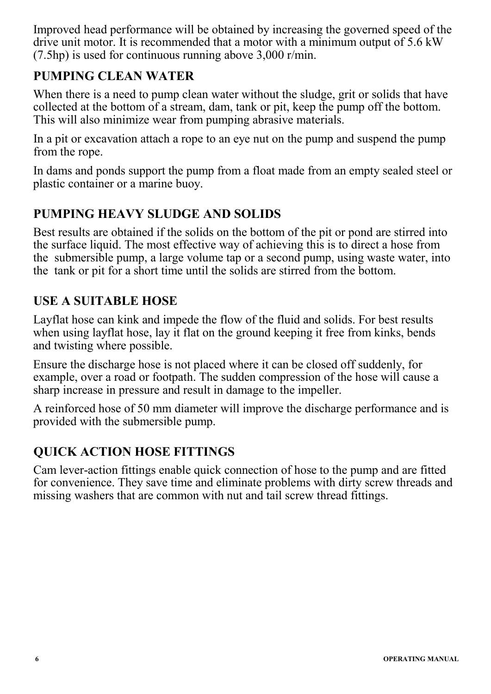Improved head performance will be obtained by increasing the governed speed of the drive unit motor. It is recommended that a motor with a minimum output of 5.6 kW (7.5hp) is used for continuous running above 3,000 r/min.

#### **PUMPING CLEAN WATER**

When there is a need to pump clean water without the sludge, grit or solids that have collected at the bottom of a stream, dam, tank or pit, keep the pump off the bottom. This will also minimize wear from pumping abrasive materials.

In a pit or excavation attach a rope to an eye nut on the pump and suspend the pump from the rope.

In dams and ponds support the pump from a float made from an empty sealed steel or plastic container or a marine buoy.

#### **PUMPING HEAVY SLUDGE AND SOLIDS**

Best results are obtained if the solids on the bottom of the pit or pond are stirred into the surface liquid. The most effective way of achieving this is to direct a hose from the submersible pump, a large volume tap or a second pump, using waste water, into the tank or pit for a short time until the solids are stirred from the bottom.

#### **USE A SUITABLE HOSE**

Layflat hose can kink and impede the flow of the fluid and solids. For best results when using layflat hose, lay it flat on the ground keeping it free from kinks, bends and twisting where possible.

Ensure the discharge hose is not placed where it can be closed off suddenly, for example, over a road or footpath. The sudden compression of the hose will cause a sharp increase in pressure and result in damage to the impeller.

A reinforced hose of 50 mm diameter will improve the discharge performance and is provided with the submersible pump.

### **QUICK ACTION HOSE FITTINGS**

Cam lever-action fittings enable quick connection of hose to the pump and are fitted for convenience. They save time and eliminate problems with dirty screw threads and missing washers that are common with nut and tail screw thread fittings.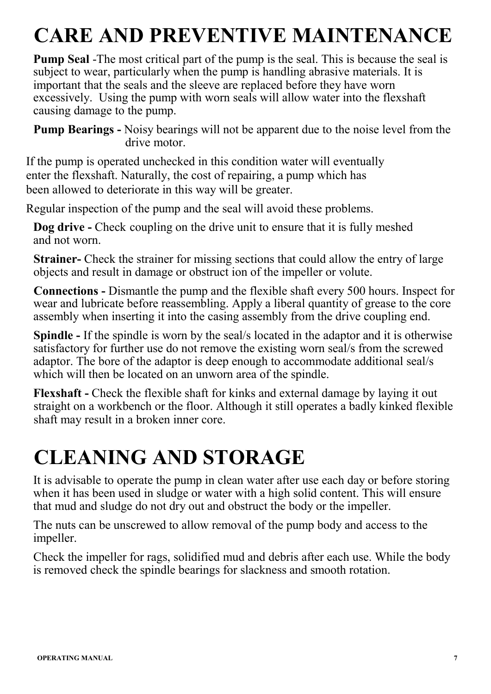# **CARE AND PREVENTIVE MAINTENANCE**

**Pump Seal** -The most critical part of the pump is the seal. This is because the seal is subject to wear, particularly when the pump is handling abrasive materials. It is important that the seals and the sleeve are replaced before they have worn excessively. Using the pump with worn seals will allow water into the flexshaft causing damage to the pump.

**Pump Bearings -** Noisy bearings will not be apparent due to the noise level from the drive motor.

If the pump is operated unchecked in this condition water will eventually enter the flexshaft. Naturally, the cost of repairing, a pump which has been allowed to deteriorate in this way will be greater.

Regular inspection of the pump and the seal will avoid these problems.

**Dog drive -** Check coupling on the drive unit to ensure that it is fully meshed and not worn.

**Strainer-** Check the strainer for missing sections that could allow the entry of large objects and result in damage or obstruct ion of the impeller or volute.

**Connections -** Dismantle the pump and the flexible shaft every 500 hours. Inspect for wear and lubricate before reassembling. Apply a liberal quantity of grease to the core assembly when inserting it into the casing assembly from the drive coupling end.

**Spindle -** If the spindle is worn by the seal/s located in the adaptor and it is otherwise satisfactory for further use do not remove the existing worn seal/s from the screwed adaptor. The bore of the adaptor is deep enough to accommodate additional seal/s which will then be located on an unworn area of the spindle.

**Flexshaft -** Check the flexible shaft for kinks and external damage by laying it out straight on a workbench or the floor. Although it still operates a badly kinked flexible shaft may result in a broken inner core.

### **CLEANING AND STORAGE**

It is advisable to operate the pump in clean water after use each day or before storing when it has been used in sludge or water with a high solid content. This will ensure that mud and sludge do not dry out and obstruct the body or the impeller.

The nuts can be unscrewed to allow removal of the pump body and access to the impeller.

Check the impeller for rags, solidified mud and debris after each use. While the body is removed check the spindle bearings for slackness and smooth rotation.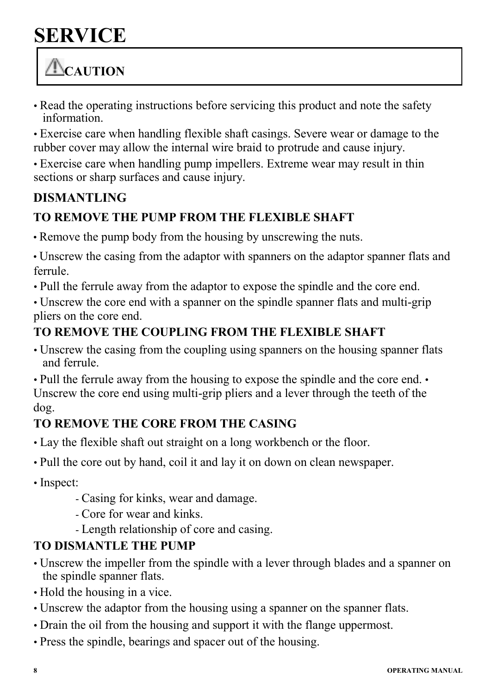### **SERVICE**

### **CAUTION**

- Read the operating instructions before servicing this product and note the safety information.
- Exercise care when handling flexible shaft casings. Severe wear or damage to the rubber cover may allow the internal wire braid to protrude and cause injury.
- Exercise care when handling pump impellers. Extreme wear may result in thin sections or sharp surfaces and cause injury.

### **DISMANTLING**

### **TO REMOVE THE PUMP FROM THE FLEXIBLE SHAFT**

• Remove the pump body from the housing by unscrewing the nuts.

• Unscrew the casing from the adaptor with spanners on the adaptor spanner flats and ferrule.

• Pull the ferrule away from the adaptor to expose the spindle and the core end.

• Unscrew the core end with a spanner on the spindle spanner flats and multi-grip pliers on the core end.

### **TO REMOVE THE COUPLING FROM THE FLEXIBLE SHAFT**

• Unscrew the casing from the coupling using spanners on the housing spanner flats and ferrule.

• Pull the ferrule away from the housing to expose the spindle and the core end. • Unscrew the core end using multi-grip pliers and a lever through the teeth of the dog.

### **TO REMOVE THE CORE FROM THE CASING**

- Lay the flexible shaft out straight on a long workbench or the floor.
- Pull the core out by hand, coil it and lay it on down on clean newspaper.
- Inspect:
	- Casing for kinks, wear and damage.
	- Core for wear and kinks.
	- Length relationship of core and casing.

### **TO DISMANTLE THE PUMP**

- Unscrew the impeller from the spindle with a lever through blades and a spanner on the spindle spanner flats.
- Hold the housing in a vice.
- Unscrew the adaptor from the housing using a spanner on the spanner flats.
- Drain the oil from the housing and support it with the flange uppermost.
- Press the spindle, bearings and spacer out of the housing.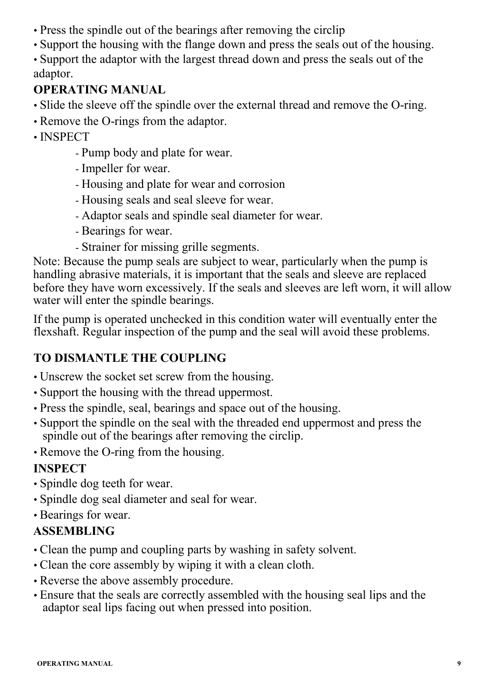- Press the spindle out of the bearings after removing the circlip
- Support the housing with the flange down and press the seals out of the housing.
- Support the adaptor with the largest thread down and press the seals out of the adaptor.

#### **OPERATING MANUAL**

- Slide the sleeve off the spindle over the external thread and remove the O-ring.
- Remove the O-rings from the adaptor.
- INSPECT
	- Pump body and plate for wear.
	- Impeller for wear.
	- Housing and plate for wear and corrosion
	- Housing seals and seal sleeve for wear.
	- Adaptor seals and spindle seal diameter for wear.
	- Bearings for wear.
	- Strainer for missing grille segments.

Note: Because the pump seals are subject to wear, particularly when the pump is handling abrasive materials, it is important that the seals and sleeve are replaced before they have worn excessively. If the seals and sleeves are left worn, it will allow water will enter the spindle bearings.

If the pump is operated unchecked in this condition water will eventually enter the flexshaft. Regular inspection of the pump and the seal will avoid these problems.

### **TO DISMANTLE THE COUPLING**

- Unscrew the socket set screw from the housing.
- Support the housing with the thread uppermost.
- Press the spindle, seal, bearings and space out of the housing.
- Support the spindle on the seal with the threaded end uppermost and press the spindle out of the bearings after removing the circlip.
- Remove the O-ring from the housing.

### **INSPECT**

- Spindle dog teeth for wear.
- Spindle dog seal diameter and seal for wear.
- Bearings for wear.

### **ASSEMBLING**

- Clean the pump and coupling parts by washing in safety solvent.
- Clean the core assembly by wiping it with a clean cloth.
- Reverse the above assembly procedure.
- Ensure that the seals are correctly assembled with the housing seal lips and the adaptor seal lips facing out when pressed into position.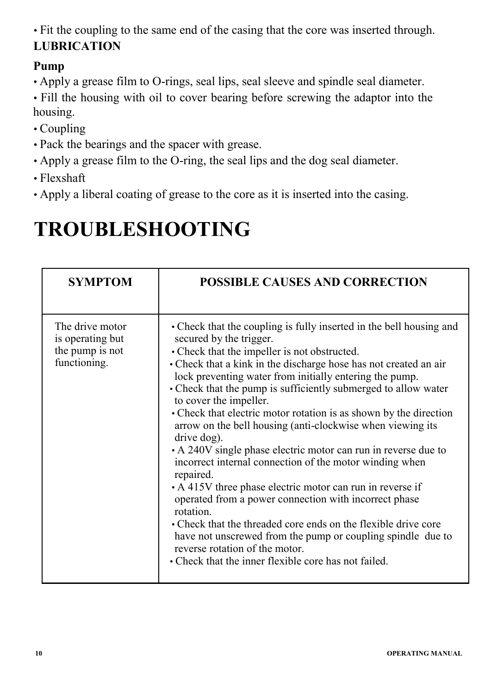• Fit the coupling to the same end of the casing that the core was inserted through. **LUBRICATION** 

#### **Pump**

• Apply a grease film to O-rings, seal lips, seal sleeve and spindle seal diameter.

• Fill the housing with oil to cover bearing before screwing the adaptor into the housing.

- Coupling
- Pack the bearings and the spacer with grease.
- Apply a grease film to the O-ring, the seal lips and the dog seal diameter.
- Flexshaft
- Apply a liberal coating of grease to the core as it is inserted into the casing.

### **TROUBLESHOOTING**

| <b>SYMPTOM</b>                                                         | <b>POSSIBLE CAUSES AND CORRECTION</b>                                                                                                                                                                                                                                                                                                                                                                                                                                                                                                                                                                                                                                                                                                                                                                                                                                                                                                                                                                                               |
|------------------------------------------------------------------------|-------------------------------------------------------------------------------------------------------------------------------------------------------------------------------------------------------------------------------------------------------------------------------------------------------------------------------------------------------------------------------------------------------------------------------------------------------------------------------------------------------------------------------------------------------------------------------------------------------------------------------------------------------------------------------------------------------------------------------------------------------------------------------------------------------------------------------------------------------------------------------------------------------------------------------------------------------------------------------------------------------------------------------------|
| The drive motor<br>is operating but<br>the pump is not<br>functioning. | • Check that the coupling is fully inserted in the bell housing and<br>secured by the trigger.<br>• Check that the impeller is not obstructed.<br>• Check that a kink in the discharge hose has not created an air<br>lock preventing water from initially entering the pump.<br>• Check that the pump is sufficiently submerged to allow water<br>to cover the impeller.<br>• Check that electric motor rotation is as shown by the direction<br>arrow on the bell housing (anti-clockwise when viewing its<br>drive dog).<br>• A 240V single phase electric motor can run in reverse due to<br>incorrect internal connection of the motor winding when<br>repaired.<br>• A 415V three phase electric motor can run in reverse if<br>operated from a power connection with incorrect phase<br>rotation.<br>• Check that the threaded core ends on the flexible drive core<br>have not unscrewed from the pump or coupling spindle due to<br>reverse rotation of the motor.<br>• Check that the inner flexible core has not failed. |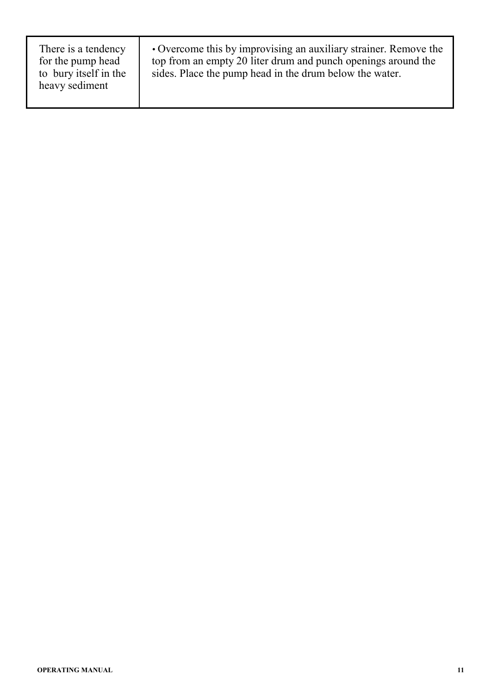| There is a tendency<br>for the pump head<br>to bury itself in the<br>heavy sediment | • Overcome this by improvising an auxiliary strainer. Remove the<br>top from an empty 20 liter drum and punch openings around the<br>sides. Place the pump head in the drum below the water. |
|-------------------------------------------------------------------------------------|----------------------------------------------------------------------------------------------------------------------------------------------------------------------------------------------|
|-------------------------------------------------------------------------------------|----------------------------------------------------------------------------------------------------------------------------------------------------------------------------------------------|